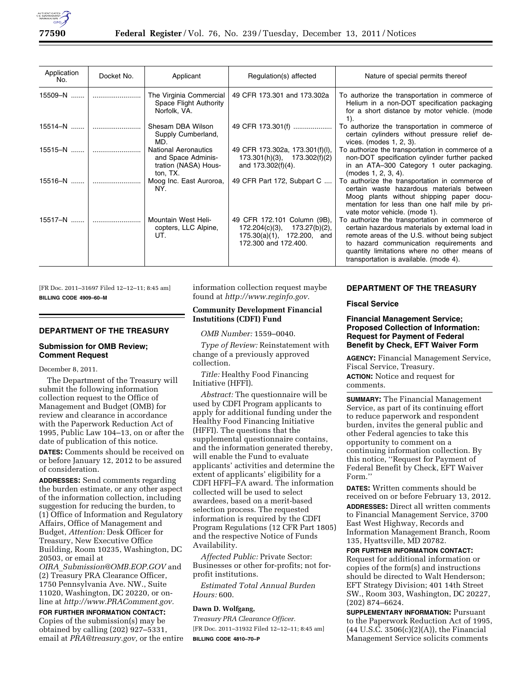

| Application<br>No. | Docket No. | Applicant                                                                             | Regulation(s) affected                                                                                               | Nature of special permits thereof                                                                                                                                                                                                                                                         |
|--------------------|------------|---------------------------------------------------------------------------------------|----------------------------------------------------------------------------------------------------------------------|-------------------------------------------------------------------------------------------------------------------------------------------------------------------------------------------------------------------------------------------------------------------------------------------|
| 15509-N            |            | The Virginia Commercial<br>Space Flight Authority<br>Norfolk, VA.                     | 49 CFR 173.301 and 173.302a                                                                                          | To authorize the transportation in commerce of<br>Helium in a non-DOT specification packaging<br>for a short distance by motor vehicle. (mode<br>1).                                                                                                                                      |
| 15514-N            |            | Shesam DBA Wilson<br>Supply Cumberland,<br>MD.                                        | 49 CFR 173.301(f)                                                                                                    | To authorize the transportation in commerce of<br>certain cylinders without pressure relief de-<br>vices. (modes 1, 2, 3).                                                                                                                                                                |
| $15515 - N$        |            | <b>National Aeronautics</b><br>and Space Adminis-<br>tration (NASA) Hous-<br>ton, TX. | 49 CFR 173.302a, 173.301(f)(l),<br>$173.301(h)(3)$ , $173.302(f)(2)$<br>and 173.302(f)(4).                           | To authorize the transportation in commerce of a<br>non-DOT specification cylinder further packed<br>in an ATA-300 Category 1 outer packaging.<br>(modes 1, 2, 3, 4).                                                                                                                     |
| $15516 - N$        |            | Moog Inc. East Auroroa,<br>NY.                                                        | 49 CFR Part 172, Subpart C                                                                                           | To authorize the transportation in commerce of<br>certain waste hazardous materials between<br>Moog plants without shipping paper docu-<br>mentation for less than one half mile by pri-<br>vate motor vehicle. (mode 1).                                                                 |
| 15517–N            |            | Mountain West Heli-<br>copters, LLC Alpine,<br>UT.                                    | 49 CFR 172.101 Column (9B),<br>173.27(b)(2),<br>172.204(c)(3),<br>175.30(a)(1), 172.200, and<br>172.300 and 172.400. | To authorize the transportation in commerce of<br>certain hazardous materials by external load in<br>remote areas of the U.S. without being subject<br>to hazard communication requirements and<br>quantity limitations where no other means of<br>transportation is available. (mode 4). |

[FR Doc. 2011–31697 Filed 12–12–11; 8:45 am] **BILLING CODE 4909–60–M** 

## **DEPARTMENT OF THE TREASURY**

## **Submission for OMB Review; Comment Request**

## December 8, 2011.

The Department of the Treasury will submit the following information collection request to the Office of Management and Budget (OMB) for review and clearance in accordance with the Paperwork Reduction Act of 1995, Public Law 104–13, on or after the date of publication of this notice.

**DATES:** Comments should be received on or before January 12, 2012 to be assured of consideration.

**ADDRESSES:** Send comments regarding the burden estimate, or any other aspect of the information collection, including suggestion for reducing the burden, to (1) Office of Information and Regulatory Affairs, Office of Management and Budget, *Attention:* Desk Officer for Treasury, New Executive Office Building, Room 10235, Washington, DC 20503, or email at

*OIRA*\_*[Submission@OMB.EOP.GOV](mailto:OIRA_Submission@OMB.EOP.GOV)* and (2) Treasury PRA Clearance Officer, 1750 Pennsylvania Ave. NW., Suite 11020, Washington, DC 20220, or online at *[http://www.PRAComment.gov.](http://www.PRAComment.gov)* 

**FOR FURTHER INFORMATION CONTACT:**  Copies of the submission(s) may be obtained by calling (202) 927–5331, email at *[PRA@treasury.gov,](mailto:PRA@treasury.gov)* or the entire information collection request maybe found at *[http://www.reginfo.gov.](http://www.reginfo.gov)* 

## **Community Development Financial Instutitions (CDFI) Fund**

*OMB Number:* 1559–0040.

*Type of Review:* Reinstatement with change of a previously approved collection.

*Title:* Healthy Food Financing Initiative (HFFI).

*Abstract:* The questionnaire will be used by CDFI Program applicants to apply for additional funding under the Healthy Food Financing Initiative (HFFI). The questions that the supplemental questionnaire contains, and the information generated thereby, will enable the Fund to evaluate applicants' activities and determine the extent of applicants' eligibility for a CDFI HFFI–FA award. The information collected will be used to select awardees, based on a merit-based selection process. The requested information is required by the CDFI Program Regulations (12 CFR Part 1805) and the respective Notice of Funds Availability.

*Affected Public:* Private Sector: Businesses or other for-profits; not forprofit institutions.

*Estimated Total Annual Burden Hours:* 600.

#### **Dawn D. Wolfgang,**

*Treasury PRA Clearance Officer.*  [FR Doc. 2011–31932 Filed 12–12–11; 8:45 am] **BILLING CODE 4810–70–P** 

## **DEPARTMENT OF THE TREASURY**

#### **Fiscal Service**

# **Financial Management Service; Proposed Collection of Information: Request for Payment of Federal Benefit by Check, EFT Waiver Form**

**AGENCY:** Financial Management Service, Fiscal Service, Treasury.

**ACTION:** Notice and request for comments.

**SUMMARY:** The Financial Management Service, as part of its continuing effort to reduce paperwork and respondent burden, invites the general public and other Federal agencies to take this opportunity to comment on a continuing information collection. By this notice, ''Request for Payment of Federal Benefit by Check, EFT Waiver Form.''

**DATES:** Written comments should be received on or before February 13, 2012. **ADDRESSES:** Direct all written comments to Financial Management Service, 3700 East West Highway, Records and Information Management Branch, Room 135, Hyattsville, MD 20782.

#### **FOR FURTHER INFORMATION CONTACT:**

Request for additional information or copies of the form(s) and instructions should be directed to Walt Henderson; EFT Strategy Division; 401 14th Street SW., Room 303, Washington, DC 20227, (202) 874–6624.

**SUPPLEMENTARY INFORMATION: Pursuant** to the Paperwork Reduction Act of 1995,  $(44 \text{ U.S.C. } 3506(c)(2)(A))$ , the Financial Management Service solicits comments